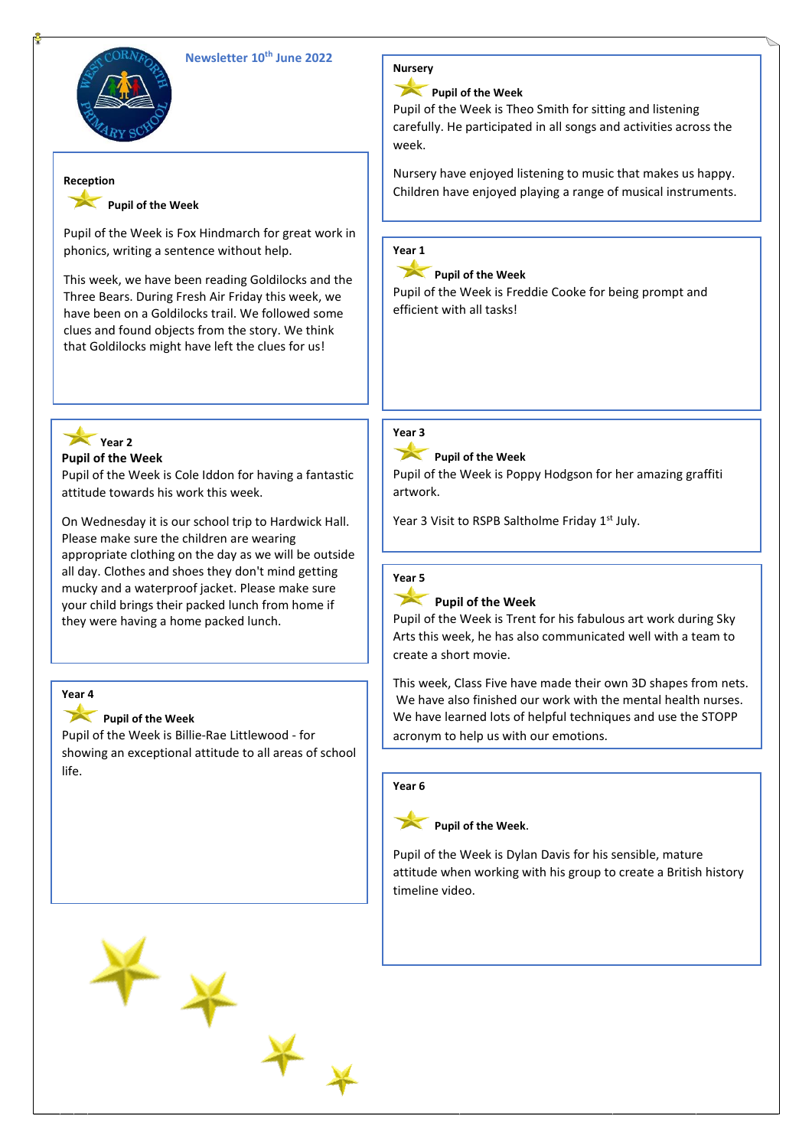# **Newsletter 10th June 2022**



#### **Reception**

# **Pupil of the Week**

Pupil of the Week is Fox Hindmarch for great work in phonics, writing a sentence without help.

This week, we have been reading Goldilocks and the Three Bears. During Fresh Air Friday this week, we have been on a Goldilocks trail. We followed some clues and found objects from the story. We think that Goldilocks might have left the clues for us!



**Pupil of the Week**

Pupil of the Week is Cole Iddon for having a fantastic attitude towards his work this week.

On Wednesday it is our school trip to Hardwick Hall. Please make sure the children are wearing appropriate clothing on the day as we will be outside all day. Clothes and shoes they don't mind getting mucky and a waterproof jacket. Please make sure your child brings their packed lunch from home if they were having a home packed lunch.

# **Year 4**

### **Pupil of the Week**

Pupil of the Week is Billie-Rae Littlewood - for showing an exceptional attitude to all areas of school life.





### **Pupil of the Week**

Pupil of the Week is Theo Smith for sitting and listening carefully. He participated in all songs and activities across the week.

Nursery have enjoyed listening to music that makes us happy. Children have enjoyed playing a range of musical instruments.

### **Year 1**

**Pupil of the Week**

Pupil of the Week is Freddie Cooke for being prompt and efficient with all tasks!

# **Year 3**

**Pupil of the Week**

Pupil of the Week is Poppy Hodgson for her amazing graffiti artwork.

Year 3 Visit to RSPB Saltholme Friday 1<sup>st</sup> July.

### **Year 5**

### Pupil of the Week

Pupil of the Week is Trent for his fabulous art work during Sky Arts this week, he has also communicated well with a team to create a short movie.

This week, Class Five have made their own 3D shapes from nets. We have also finished our work with the mental health nurses. We have learned lots of helpful techniques and use the STOPP acronym to help us with our emotions.

S: Stop. Whatever you're doing, just pause.

#### T: Take a breath and the property of the property of the property of the property of the property of the property of the property of the property of the property of the property of the property of the property of the prope  $\overline{a}$  or  $\overline{b}$ **Year 6**



Pupil of the Week is Dylan Davis for his sensible, mature attitude when working with his group to create a British history timeline video. Continue doing what you were doing what you were doing what you were doing what you were doing. timeline video.

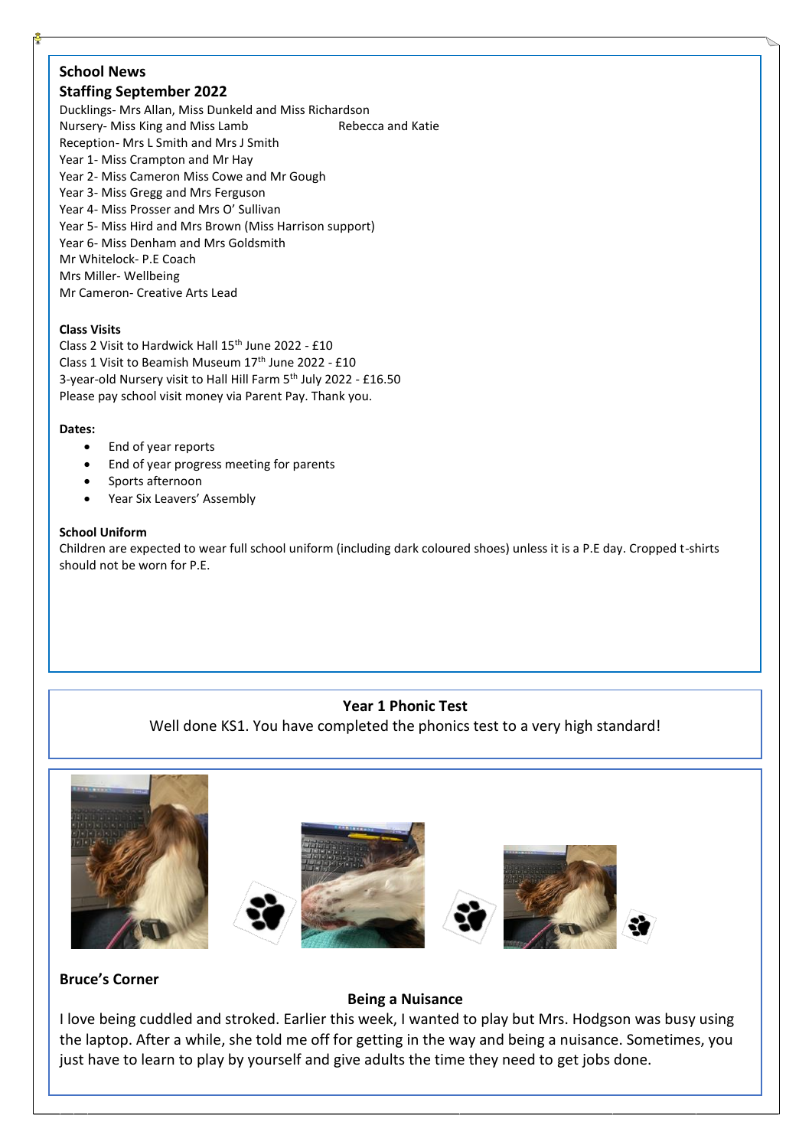# **School News**

# **Staffing September 2022**

Ducklings- Mrs Allan, Miss Dunkeld and Miss Richardson Nursery- Miss King and Miss Lamb Rebecca and Katie Reception- Mrs L Smith and Mrs J Smith Year 1- Miss Crampton and Mr Hay Year 2- Miss Cameron Miss Cowe and Mr Gough Year 3- Miss Gregg and Mrs Ferguson Year 4- Miss Prosser and Mrs O' Sullivan Year 5- Miss Hird and Mrs Brown (Miss Harrison support) Year 6- Miss Denham and Mrs Goldsmith Mr Whitelock- P.E Coach Mrs Miller- Wellbeing Mr Cameron- Creative Arts Lead

### **Class Visits**

Class 2 Visit to Hardwick Hall 15<sup>th</sup> June 2022 - £10 Class 1 Visit to Beamish Museum 17<sup>th</sup> June 2022 - £10 3-year-old Nursery visit to Hall Hill Farm 5<sup>th</sup> July 2022 - £16.50 Please pay school visit money via Parent Pay. Thank you.

### **Dates:**

- End of year reports
- End of year progress meeting for parents
- Sports afternoon
- Year Six Leavers' Assembly

### **School Uniform**

Children are expected to wear full school uniform (including dark coloured shoes) unless it is a P.E day. Cropped t-shirts should not be worn for P.E.

### **Year 1 Phonic Test**

Well done KS1. You have completed the phonics test to a very high standard!



# **Bruce's Corner**

### **Being a Nuisance**

I love being cuddled and stroked. Earlier this week, I wanted to play but Mrs. Hodgson was busy using the laptop. After a while, she told me off for getting in the way and being a nuisance. Sometimes, you just have to learn to play by yourself and give adults the time they need to get jobs done.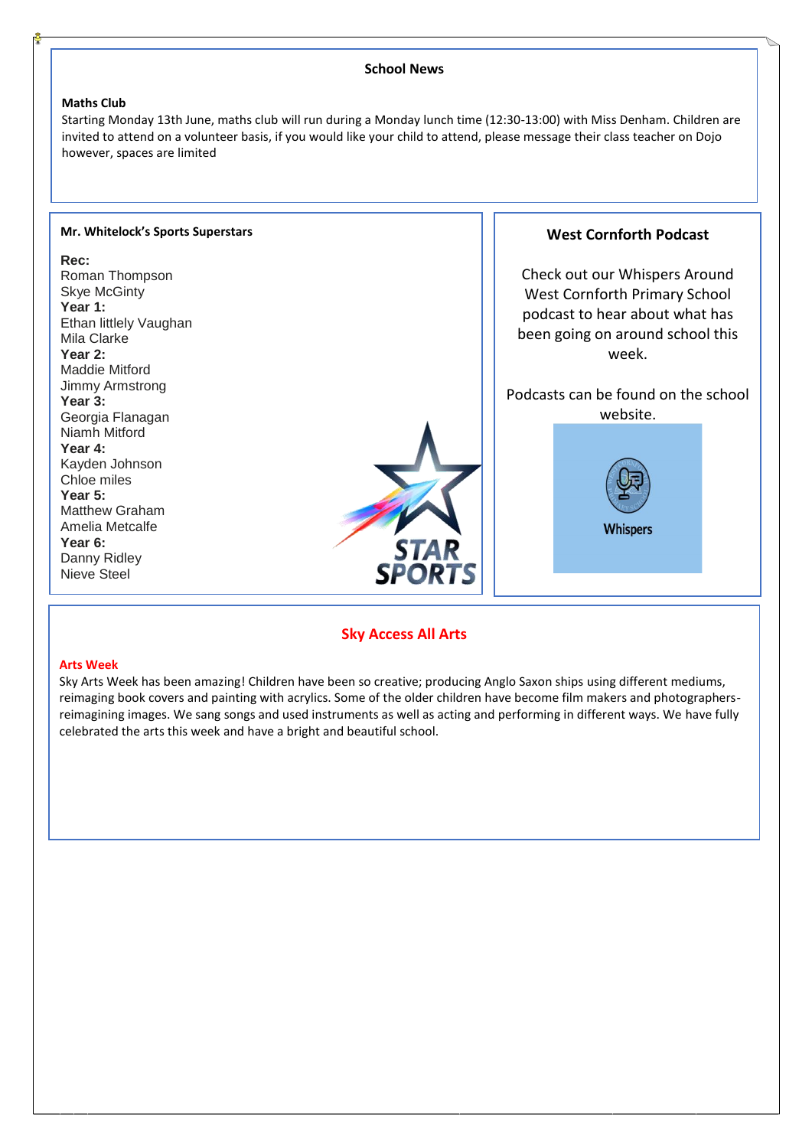#### **School News Maths Club** Starting Monday 13th June, maths club will run during a Monday lunch time (12:30-13:00) with Miss Denham. Children are invited to attend on a volunteer basis, if you would like your child to attend, please message their class teacher on Dojo however, spaces are limited I I **Mr. Whitelock's Sports Superstars West Cornforth Podcast Rec:** Check out our Whispers Around Roman Thompson Skye McGinty West Cornforth Primary School **Year 1:** podcast to hear about what has Ethan littlely Vaughan been going on around school this Mila Clarke **Year 2:** week. Maddie Mitford Jimmy Armstrong Podcasts can be found on the school **Year 3:** website.Georgia Flanagan Niamh Mitford **Year 4:** Kayden Johnson Chloe miles **Year 5:** Matthew Graham Amelia Metcalfe **Whispers Year 6:** Danny Ridley **SPORT** Nieve Steel

# **Sky Access All Arts**

#### **Arts Week**

Sky Arts Week has been amazing! Children have been so creative; producing Anglo Saxon ships using different mediums, reimaging book covers and painting with acrylics. Some of the older children have become film makers and photographersreimagining images. We sang songs and used instruments as well as acting and performing in different ways. We have fully celebrated the arts this week and have a bright and beautiful school.